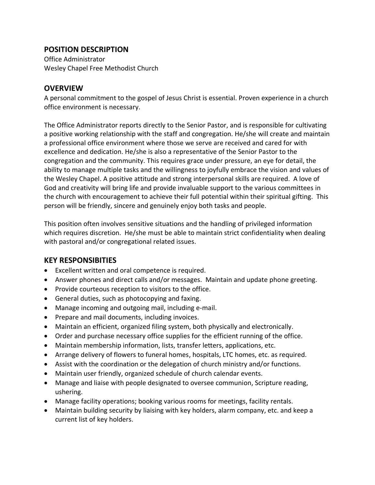### **POSITION DESCRIPTION**

Office Administrator Wesley Chapel Free Methodist Church

## **OVERVIEW**

A personal commitment to the gospel of Jesus Christ is essential. Proven experience in a church office environment is necessary.

The Office Administrator reports directly to the Senior Pastor, and is responsible for cultivating a positive working relationship with the staff and congregation. He/she will create and maintain a professional office environment where those we serve are received and cared for with excellence and dedication. He/she is also a representative of the Senior Pastor to the congregation and the community. This requires grace under pressure, an eye for detail, the ability to manage multiple tasks and the willingness to joyfully embrace the vision and values of the Wesley Chapel. A positive attitude and strong interpersonal skills are required. A love of God and creativity will bring life and provide invaluable support to the various committees in the church with encouragement to achieve their full potential within their spiritual gifting. This person will be friendly, sincere and genuinely enjoy both tasks and people.

This position often involves sensitive situations and the handling of privileged information which requires discretion. He/she must be able to maintain strict confidentiality when dealing with pastoral and/or congregational related issues.

# **KEY RESPONSIBITIES**

- Excellent written and oral competence is required.
- Answer phones and direct calls and/or messages. Maintain and update phone greeting.
- Provide courteous reception to visitors to the office.
- General duties, such as photocopying and faxing.
- Manage incoming and outgoing mail, including e-mail.
- Prepare and mail documents, including invoices.
- Maintain an efficient, organized filing system, both physically and electronically.
- Order and purchase necessary office supplies for the efficient running of the office.
- Maintain membership information, lists, transfer letters, applications, etc.
- Arrange delivery of flowers to funeral homes, hospitals, LTC homes, etc. as required.
- Assist with the coordination or the delegation of church ministry and/or functions.
- Maintain user friendly, organized schedule of church calendar events.
- Manage and liaise with people designated to oversee communion, Scripture reading, ushering.
- Manage facility operations; booking various rooms for meetings, facility rentals.
- Maintain building security by liaising with key holders, alarm company, etc. and keep a current list of key holders.